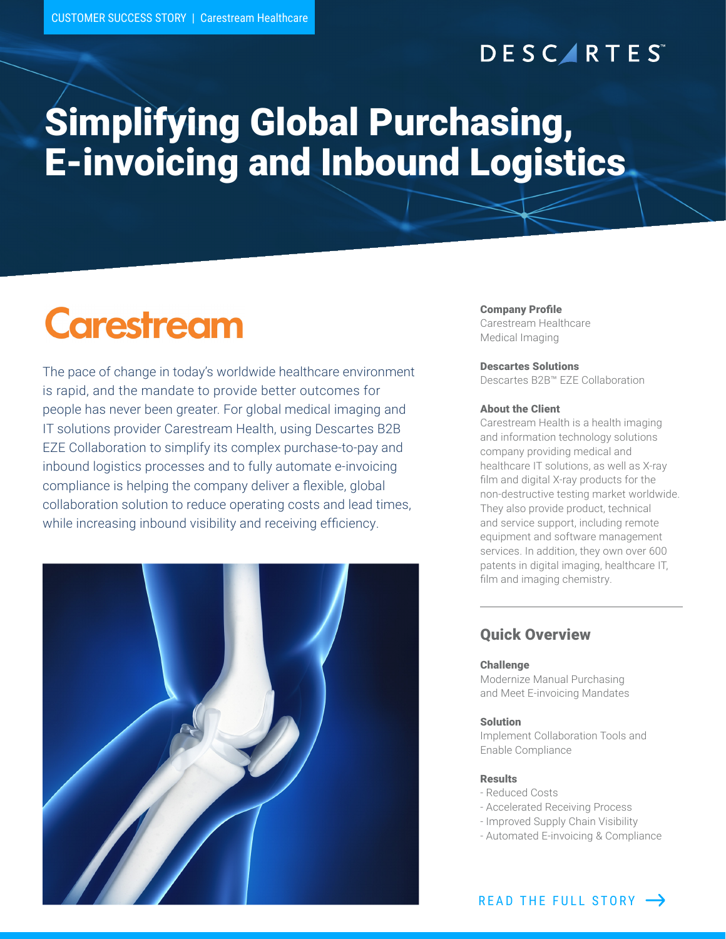## **DESCARTES**

## Simplifying Global Purchasing, E-invoicing and Inbound Logistics

# **Carestream**

The pace of change in today's worldwide healthcare environment is rapid, and the mandate to provide better outcomes for people has never been greater. For global medical imaging and IT solutions provider Carestream Health, using Descartes B2B EZE Collaboration to simplify its complex purchase-to-pay and inbound logistics processes and to fully automate e-invoicing compliance is helping the company deliver a flexible, global collaboration solution to reduce operating costs and lead times, while increasing inbound visibility and receiving efficiency.



#### Company Profile

Carestream Healthcare Medical Imaging

#### Descartes Solutions

Descartes B2B™ EZE Collaboration

#### About the Client

Carestream Health is a health imaging and information technology solutions company providing medical and healthcare IT solutions, as well as X-ray film and digital X-ray products for the non-destructive testing market worldwide. They also provide product, technical and service support, including remote equipment and software management services. In addition, they own over 600 patents in digital imaging, healthcare IT, film and imaging chemistry.

### Quick Overview

#### Challenge

Modernize Manual Purchasing and Meet E-invoicing Mandates

#### Solution

Implement Collaboration Tools and Enable Compliance

#### Results

- Reduced Costs
- Accelerated Receiving Process
- Improved Supply Chain Visibility
- Automated E-invoicing & Compliance

READ THE FULL STORY  $\rightarrow$